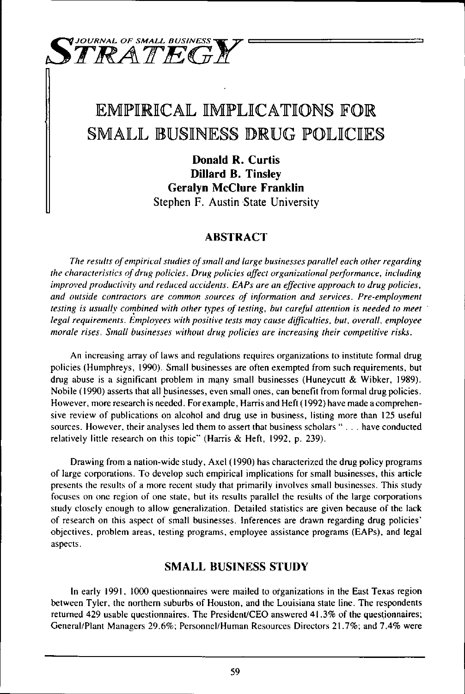

# EMPIRICAL IMPLICATIONS FOR SMALL BUSINESS DRUG POLICIES

Donald R. Curtis Dillard B. Tinsley Geralyn McClure Franklin Stephen F. Austin State University

# ABSTRACT

The results of empirical studies of small and large businesses parallel each other regarding the characieristics of drug policies. Drug policies affect organizational performance, including improved productivity and reduced accidents. EAPs are an effective approach to drug policies, and ourside contractors are common sources of information and services. Pre-employment testing is usually combined with other types of testing, but careful attention is needed to meet 'egal requiremems. Employees with positive tests may cause difficulties, but, overall, employee morale rises. Sinall businesses without drug policies are increasing their competitive risks.

An increasing array of laws and regulations requires organizations to institute formal drug policies (Humphreys, 1990). Small businesses are often exempted from such requirements, but drug abuse is a significant problem in many small businesses (Huneycutt & Wibker, 1989). Nobile (1990) asserts that all businesses, even small ones, can benefit from formal drug policies. However, more research is needed. For example, Harris and Heft (1992) have made a comprehensive review of publications on alcohol and drug use in business, listing more than 125 useful sources. However, their analyses led them to assert that business scholars "... have conducted relatively little research on this topic" (Harris & Heft, 1992, p. 239).

Drawing from a nation-wide study, Axel (1990) has characterized the drug policy programs of large corporations. To develop such empirical implications for small businesses, this article presents the results of a more recent study that primarily involves small businesses. This study focuses on one region of one state, but its results parallel the results of the large corporations study closely enough to allow generalization. Detailed statistics are given because of the lack of research on this aspect of small businesses. Inferences are drawn regarding drug problem areas, testing programs, employee assistance programs (EAPs), and lega aspects.

# SMALL BUSINESS STUDY

In early 1991, 1000 questionnaires were mailed to organizations in the East Texas region between Tyler, the northern suburbs of Houston, and the Louisiana state line. The respondents returned 429 usable questionnaires. The President/CEO answered 41.3%of the questionnaires; General/Plant Managers 29.6%; Personnel/Human Resources Directors 21.7%; and 7.4% were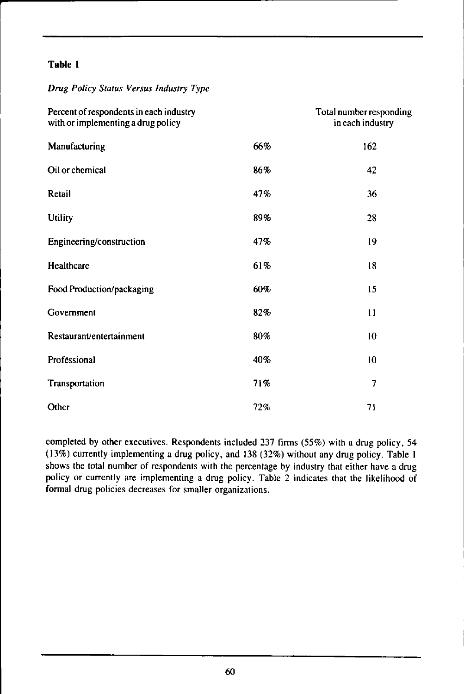# Table l

|  |  | Drug Policy Status Versus Industry Type |  |
|--|--|-----------------------------------------|--|
|  |  |                                         |  |

| Percent of respondents in each industry<br>with or implementing a drug policy |     | Total number responding<br>in each industry |
|-------------------------------------------------------------------------------|-----|---------------------------------------------|
| Manufacturing                                                                 | 66% | 162                                         |
| Oil or chemical                                                               | 86% | 42                                          |
| Retail                                                                        | 47% | 36                                          |
| <b>Utility</b>                                                                | 89% | 28                                          |
| Engineering/construction                                                      | 47% | 19                                          |
| Healthcare                                                                    | 61% | 18                                          |
| Food Production/packaging                                                     | 60% | 15                                          |
| Government                                                                    | 82% | 11                                          |
| Restaurant/entertainment                                                      | 80% | 10                                          |
| Professional                                                                  | 40% | 10                                          |
| Transportation                                                                | 71% | 7                                           |
| Other                                                                         | 72% | 71                                          |

completed by other executives. Respondents included 237 firms (55%) with a drug policy, 54 (13%) currently implementing a drug policy, and 138 (32%) without any drug policy. Table <sup>1</sup> shows the total number of respondents with the percentage by industry that either have a drug policy or currently are implementing a drug policy. Table 2 indicates that the likelihood of formal drug policies decreases for smaller organizations.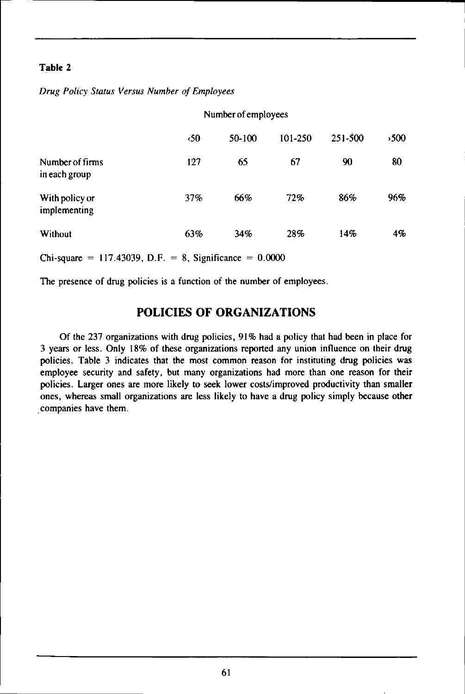Drug Policy Status Versus Number of Employees

|                                  | Number of employees |        |         |             |     |
|----------------------------------|---------------------|--------|---------|-------------|-----|
|                                  | $\cdot$ 50          | 50-100 | 101-250 | $251 - 500$ | 500 |
| Number of firms<br>in each group | 127                 | 65     | 67      | 90          | 80  |
| With policy or<br>implementing   | 37%                 | 66%    | 72%     | 86%         | 96% |
| Without                          | 63%                 | 34%    | 28%     | 14%         | 4%  |

Chi-square = 117.43039, D.F. = 8, Significance =  $0.0000$ 

The presence of drug policies is a function of the number of employees.

# POLICIES OF ORGANIZATIONS

Of the 237 organizations with drug policies, 91% had a policy that had been in place for 3 years or less. Only 18% of these organizations reported any union influence on their drug policies. Table 3 indicates that the most common reason for instituting drug policies was employee security and safety, but many organizations had more than one reason for their policies. Larger ones are more likely to seek lower costs/improved productivity than smaller ones, whereas small organizations are less likely to have a drug policy simply because other companies have them.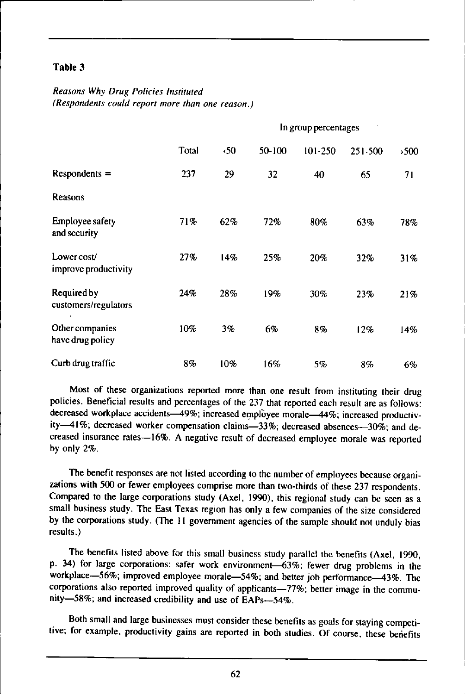## Reasons Why Drug Policies Instituted (Respondents could report more rhan one reason.)

|                                        |       | In group percentages |        |         |             |     |
|----------------------------------------|-------|----------------------|--------|---------|-------------|-----|
|                                        | Total | $\langle$ 50         | 50-100 | 101-250 | $251 - 500$ | 500 |
| $Respondents =$                        | 237   | 29                   | 32     | 40      | 65          | 71  |
| Reasons                                |       |                      |        |         |             |     |
| <b>Employee safety</b><br>and security | 71%   | 62%                  | 72%    | 80%     | 63%         | 78% |
| Lower cost/<br>improve productivity    | 27%   | 14%                  | 25%    | 20%     | 32%         | 31% |
| Required by<br>customers/regulators    | 24%   | 28%                  | 19%    | 30%     | 23%         | 21% |
| Other companies<br>have drug policy    | 10%   | 3%                   | 6%     | 8%      | 12%         | 14% |
| Curb drug traffic                      | 8%    | 10%                  | 16%    | 5%      | 8%          | 6%  |

Most of these organizations reported more than one result from instituting their drug policies. Beneficial results and percentages of the 237 that reported each result are as follows: decreased workplace accidents -49%; increased employee morale -44%; increased productivity-41%; decreased worker compensation claims-33%; decreased absences-30%; and decreased insurance rates—16%. <sup>A</sup> negative result of decreased employee morale was reported by only 2%.

The benefit responses are not listed according to the number of employees because organizations with 500 or fewer employees comprise more than two-thirds of these 237 respondents. Compared to the large corporations study (Axel, 1990), this regional study can be seen as a small business study. The East Texas region has only a few companies of the size considered by the corporations study. (The 11 government agencies of the sample should not unduly bias results.)

The benefits listed above for this small business study parallel the benefits (Axel, 1990, p. 34) for large corporations: safer work environment —63%; fewer drug problems in the workplace -- 56%; improved employee morale -- 54%; and better job performance -- 43%. The corporations also reported improved quality of applicants —77%; better image in the community—58%; and increased credibility and use of EAPs—54%.

Both small and large businesses must consider these benefits as goals for staying competitive; for example, productivity gains are reported in both studies. Of course, these beriefits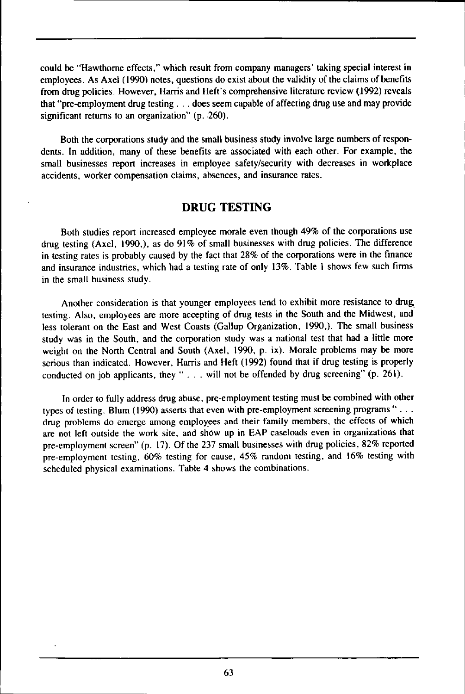could be "Hawthorne effects," which result from company managers' taking special interest in employees. As Axel (1990) notes, questions do exist about the validity of the claims of benefits from drug policies. However, Harris and Heft's comprehensive literature review (3992) reveals that "pre-employment drug testing... does seem capable of affecting drug use and may provide significant returns to an organization" (p. 260).

Both the corporations study and the small business study involve large numbers of respondents. In addition, many of these benefits are associated with each other. For example, the small businesses report increases in employee safety/security with decreases in workplace accidents, worker compensation claims, absences, and insurance rates.

# DRUG TESTING

Both studies report increased employee morale even though 49% of the corporations use drug testing (Axel, 1990,), as do 91% of small businesses with drug policies. The difference in testing rates is probably caused by the fact that 28% of the corporations were in the finance and insurance industries, which had a testing rate of only 13%.Table <sup>I</sup> shows few such firms in the small business study.

Another consideration is that younger employees tend to exhibit more resistance to drug, testing. Also, employees are more accepting of drug tests in the South and the Midwest, and less tolerant on the East and West Coasts (Gallup Organization, 1990,). The small business study was in the South, and the corporation study was a national test that had a little more weight on the North Central and South (Axel, 1990, p. ix). Morale problems may be more serious than indicated. However, Harris and Heft (1992) found that if drug testing is properly conducted on job applicants, they "... will not be offended by drug screening" (p. 261).

In order to fully address drug abuse, pre-employment testing must be combined with other types of testing. Blum (1990) asserts that even with pre-employment screening programs "... drug problems do emerge among employees and their family members, the effects of which are not left outside the work site, and show up in EAP caseloads even in organizations that pre-employment screen" (p. 17). Of the 237 small businesses with drug policies, 82% reported pre-employment testing, 60% testing for cause, 45% random testing, and 16% testing with scheduled physical examinations. Table 4 shows the combinations.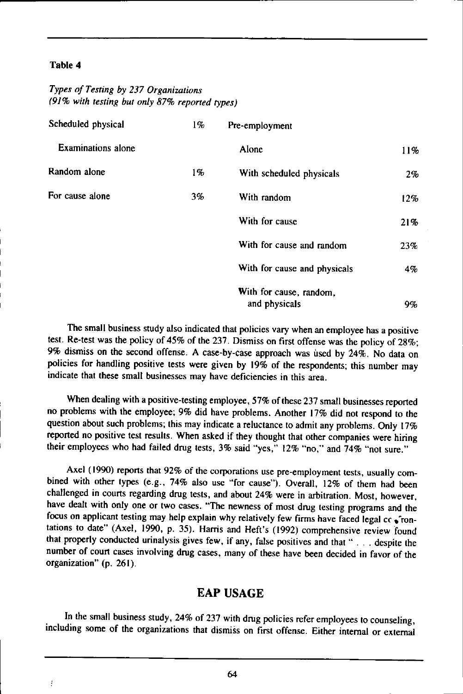$\ddot{\cdot}$ 

#### Types of Testing by 237 Organizations (9/% with testing but only 87% reported types)

| Scheduled physical        | $1\%$ | Pre-employment                           |     |
|---------------------------|-------|------------------------------------------|-----|
| <b>Examinations</b> alone |       | Alone                                    | 11% |
| Random alone              | 1%    | With scheduled physicals                 | 2%  |
| For cause alone           | 3%    | With random                              | 12% |
|                           |       | With for cause                           | 21% |
|                           |       | With for cause and random                | 23% |
|                           |       | With for cause and physicals             | 4%  |
|                           |       | With for cause, random,<br>and physicals | 9%  |

The small business study also indicated that policies vary when an employee has a positive test. Re-test was the policy of 45% of the 237. Dismiss on first offense was the policy of 28%; 9% dismiss on the second offense. <sup>A</sup> case-by-case approach was used by 24%. No data on policies for handling positive tests were given by 19% of the respondents; this number may indicate that these small businesses may have deficiencies in this area.

When dealing with a positive-testing employee, 57% of these 237 small businesses reported no problems with the employee; 9% did have problems. Another 17% did not respond to the question about such problems; this may indicate a reluctance to admit any problems. Only 17% reported no positive test results. When asked if they thought that other companies were hiring their employees who had failed drug tests, 3% said "yes," 12% "no," and 74% "not sure."

Axel (1990) reports that 92% of the corporations use pre-employment tests, usually combined with other types (e.g., 74% also use "for cause"). Overall, 12% of them had been challenged in courts regarding drug tests, and about 24% were in arbitration. Most, however, have dealt with only one or two cases. 'The newness of most drug testing programs and the focus on applicant testing may help explain why relatively few firms have faced legal  $cc \rightarrow \text{ron-}$ tations to date" (Axel, 1990, p. 35). Harris and Heft's (1992) comprehensive review found that properly conducted urinalysis gives few, if any, false positives and that "...despite the number of court cases involving drug cases, many of these have been decided in favor of the organization" (p. 261).

# EAP USAGE

In the small business study, 24% of 237 with drug policies refer employees to counseling, including some of the organizations that dismiss on first offense. Either internal or external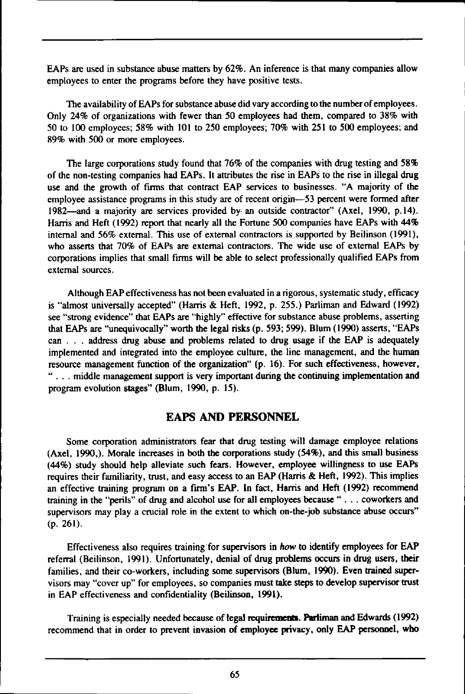EAPs are used in substance abuse matters by 62%. An inference is that many companies allow employees to enter the programs before they have positive tests.

The availability of EAPs for substance abuse did vary according to the number of employees. Only 24% of organizations with fewer than 50 employees had them, compared to 38% with 50 to 100 employees; 58% with 101 to 250 employees; 70% with 251 to 500 employees; and 89% with 500 or more employees.

The large corporations study found that 76% of the companies with drug testing and 58% of the non-testing companies had EAPs. It attributes the rise in EAPs to the rise in illegal drug use and the growth of firms that contract EAP services to businesses. "A majority of the employee assistance programs in this study are of recent origin—<sup>53</sup> percent were formed after <sup>1982</sup>—and <sup>a</sup> majority are services provided by an outside contractor" (Axel, 1990, p.14). Harris and Heft (1992) report that nearly all the Fortune 500 companies have EAPs with 44% internal and 56% external. This use of external contractors is supported by Beilinson (1991), who asserts that 70% of EAPs are external contractors. The wide use of external EAPs by corporations implies that small firms will be able to select professionally qualified EAPs from external sources.

Although EAP effectiveness has not been evaluated in a rigorous, systematic study, efficacy is "almost universally accepted" (Harris & Heft, 1992, p. 255.) Parliman and Edward (1992) see "strong evidence" that EAPs are "highly" effective for substance abuse problems, asserting that EAPs are "unequivocally" worth the legal risks (p. 593; 599). Blum (1990) asserts, "EAPs can... address drug abuse and problems related to drug usage if the EAP is adequately implemented and integrated into the employee culture, the line management, and the human resource management function of the organization" (p. 16). For such effectiveness, however, "...middle management support is very important during the continuing implementation and program evolution stages" (Blum, 1990, p. 15).

## EAPS AND PERSONNEL

Some corporation administrators fear that drug testing will damage employee relations (Axel, 1990,). Morale increases in both the corporations study (54%), and this small business (44%) study should help alleviate such fears. However, employee willingness to use EAPs requires their familiarity, trust, and easy access to an EAP (Harris & Heft, 1992). This implies an effective training program on a firm's EAP. In fact, Harris and Heft (1992) recommend training in the "perils" of drug and alcohol use for all employees because "...coworkers and supervisors may play a crucial role in the extent to which on-the-job substance abuse occurs" (p. 261).

Effectiveness also requires training'for supervisors in how to identify employees for EAP referral (Beilinson, 1991). Unfortunately, denial of drug problems occurs in drug users, their families, and their co-workers, including some supervisors (Blum, 1990). Even trained supervisors may "cover up" for employees, so companies must take steps to develop supervisor trust in EAP effectiveness and confidentiality (Beilinson, 1991).

Training is especially needed because of legal requirements. Parliman and Edwards (1992) recommend that in order to prevent invasion of employee privacy, only EAP personnel, who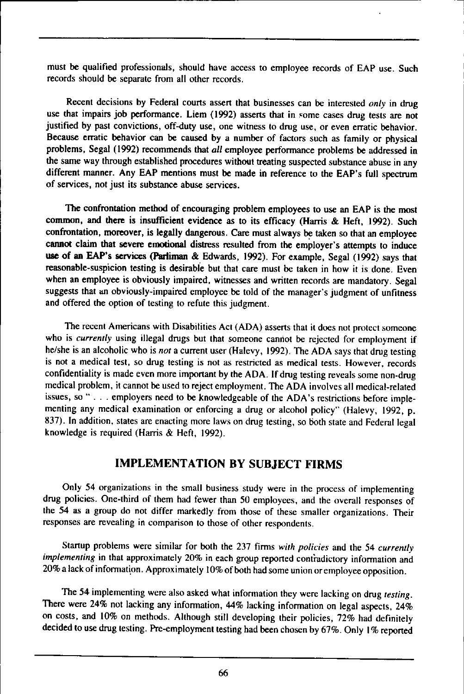must be qualified professionals, should have access to employee records of EAP use. Such records should be separate from all other records.

Recent decisions by Federal courts assert that businesses can be interested *only* in drug use that impairs job performance. Liem (1992) asserts that in some cases drug tests are not justified by past convictions, off-duty use, one witness to drug use, or even erratic behavior. Because erratic behavior can be caused by a number of factors such as family or physical problems, Segal (1992) recommends that all employee performance problems be addressed in the same way through established procedures without treating suspected substance abuse in any different manner. Any EAP mentions must be made in reference to the EAP's full spectrum of services, not just its substance abuse services.

The confrontation method of encouraging problem employees to use an EAP is the most common, and there is insufficient evidence as to its efficacy (Harris & Heft, 1992). Such confrontation, moreover, is legally dangerous. Care must always be taken so that an employee cannot claim that severe emotional distress resulted from the employer's attempts to induce use of an EAP's services (Parliman & Edwards, 1992). For example, Segal (1992) says that reasonable-suspicion testing is desirable but that care must be taken in how it is done. Even when an employee is obviously impaired, witnesses and written records are mandatory. Segal suggests that an obviously-impaired employee be told of the manager's judgment of unfitness and offered the option of testing to refute this judgment.

The recent Americans with Disabilities Act (ADA) asserts that it does not protect someone who is currently using illegal drugs but that someone cannot be rejected for employment if he/she is an alcoholic who is not a current user (Halevy, 1992). The ADA says that drug testing is not a medical test, so drug testing is not as restricted as medical tests. However, records confidentiality is made even more important by the ADA. If drug testing reveals some non-drug medical problem, it cannot be used to reject employment. The ADA involves all medical-related issues, so "... employers need to be knowledgeable of the ADA's restrictions before implementing any medical examination or enforcing a drug or alcohol policy" (Halevy, 1992, p, 837). In addition, states are enacting more laws on drug testing, so both state and Federal legal knowledge is required (Harris  $\&$  Heft, 1992).

# IMPLEMENTATION BY SUBJECT FIRMS

Only 54 organizations in the small business study were in the process of implementing drug policies. One-third of them had fewer than 50 employees, and the overall responses of the 54 as a group do not differ markedly from those of these smaller organizations. Their responses are revealing in comparison to those of other respondents.

Startup problems were similar for both the 237 firms with policies and the 54 currently implementing in that approximately 20% in each group reported contradictory information and 20% <sup>a</sup> lack of information. Approximately 10%of both had some union or employee opposition.

The 54 implementing were also asked what information they were lacking on drug testing. There were 24% not lacking any information, 44% lacking information on legal aspects, 24% on costs, and 10% on methods. Although still developing their policies, 72% had definitely decided to use drug testing. Pre-employment testing had been chosen by 67%. Only 1% reported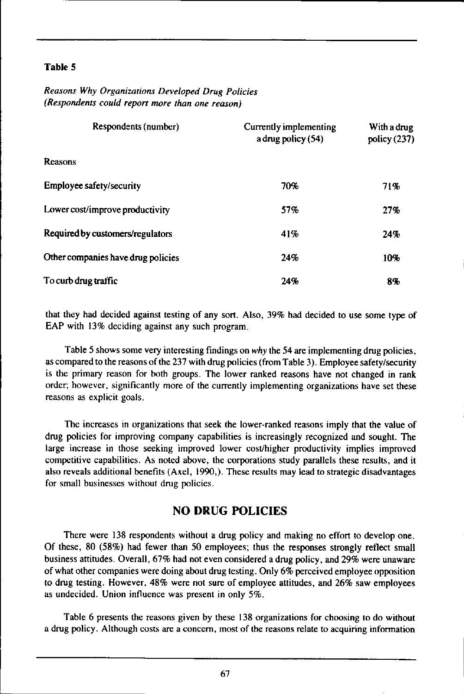## Reasons Why Organizations Developed Drug Policies (Respondents could report more than one reason)

| Respondents (number)               | Currently implementing<br>a drug policy (54) | With a drug<br>policy (237) |
|------------------------------------|----------------------------------------------|-----------------------------|
| <b>Reasons</b>                     |                                              |                             |
| Employee safety/security           | 70%                                          | 71%                         |
| Lower cost/improve productivity    | 57%                                          | 27%                         |
| Required by customers/regulators   | 41%                                          | 24%                         |
| Other companies have drug policies | 24%                                          | 10%                         |
| To curb drug traffic               | 24%                                          | 8%                          |

that they had decided against testing of any sort. Also, 39% had decided to use some type of EAP with 13% deciding against any such program.

Table 5 shows some very interesting findings on why the 54 are implementing drug policies, as compared to the reasons of the 237 with drug policies (from Table 3). Employee safety/security is the primary reason for both groups. The lower ranked reasons have not changed in rank order; however, significantly more of the currently implementing organizations have set these reasons as explicit goals.

The increases in organizations that seek the lower-ranked reasons imply that the value of drug policies for improving company capabilities is increasingly recognized and sought. The large increase in those seeking improved lower cost/higher productivity implies improved competitive capabilities. As noted above, the corporations study parallels these results, and it also reveals additional benefits (Axel, 1990,).These results may lead to strategic disadvantages for small businesses without drug policies.

# NO DRUG POLICIES

There were 138 respondents without a drug policy and making no effort to develop one. Of these, 80 (58%) had fewer than 50 employees; thus the responses strongly reflect small business attitudes. Overall, 67% had not even considered a drug policy, and 29% were unaware of what other companies were doing about drug testing. Only 6% perceived employee opposition to drug testing. However, 48% were not sure of employee attitudes, and 26% saw employees as undecided. Union influence was present in only 5%.

Table 6 presents the reasons given by these 138 organizations for choosing to do without a drug policy. Although costs are a concern, most of the reasons relate to acquiring information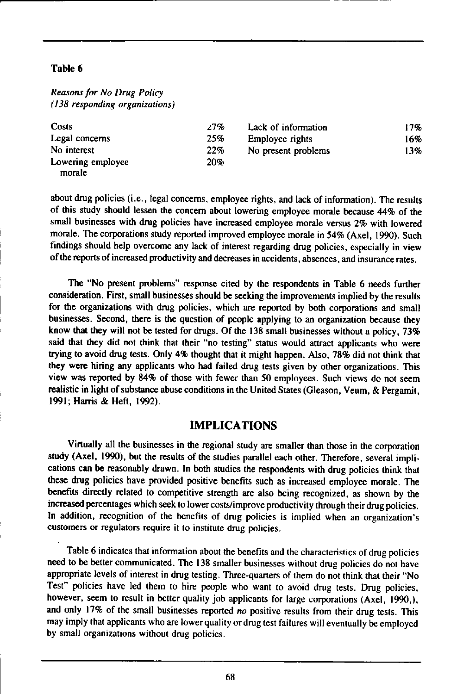Reasons for No Drug Policy (/38 responding organizations)

| Costs             | 27% | Lack of information | 17% |
|-------------------|-----|---------------------|-----|
| Legal concerns    | 25% | Employee rights     | 16% |
| No interest       | 22% | No present problems | 13% |
| Lowering employee | 20% |                     |     |
| morale            |     |                     |     |

about drug policies (i.e., legal concerns, employee rights, and lack of information). The results of this study should lessen the concern about lowering employee morale because 44% of the small businesses with drug policies have increased employee morale versus 2% with lowered morale. The corporations study reported improved employee morale in 54% (Axel, 1990). Such findings should help overcome any lack of interest regarding drug policies, especially in view of the reports of increased productivity and decreases in accidents, absences, and insurance rates.

The "No present problems" response cited by the respondents in Table 6 needs further consideration. First, small businesses should be seeking the improvements implied by the results for the organizations with drug policies, which are reported by both corporations and small businesses. Second, there is the question of people applying to an organization because they know that they will not be tested for drugs. Of the 138 small businesses without a policy, 73% said that they did not think that their "no testing" status would attract applicants who were trying to avoid drug tests. Only 4% thought that it might happen. Also, 78% did not think that they were hiring any applicants who had failed drug tests given by other organizations. This view was reported by 84% of those with fewer than 50 employees. Such views do not seem realistic in light of substance abuse conditions in the United States (Gleason, Veum, & Pergamit, 1991; Harris & Heft, 1992).

# IMPLICATIONS

Virtually all the businesses in the regional study are smaller than those in the corporation study (Axel, 1990), but the results of the studies parallel each other. Therefore, several implications can be reasonably drawn. In both studies the respondents with drug policies think that these drug policies have provided positive benefits such as increased employee morale. The benefits directly related to competitive strength are also being recognized, as shown by the increased percentages which seek to lower costs/improve productivity through their drug policies. In addition, recognition of the benefits of drug policies is implied when an organization's customers or regulators require it to institute drug policies.

Table 6 indicates that information about the benefits and the characteristics of drug policies need to be better communicated. The 138 smaller businesses without drug policies do not have appropriate levels of interest in drug testing. Three-quarters of them do not think that their "No Test" policies have led them to hire people who want to avoid drug tests. Drug policies, however, seem to result in better quality job applicants for large corporations (Axel, 1990,), and only 17% of the small businesses reported no positive results from their drug tests. This may imply that applicants who are lower quality or drug test failures will eventually be employed by small organizations without drug policies.

68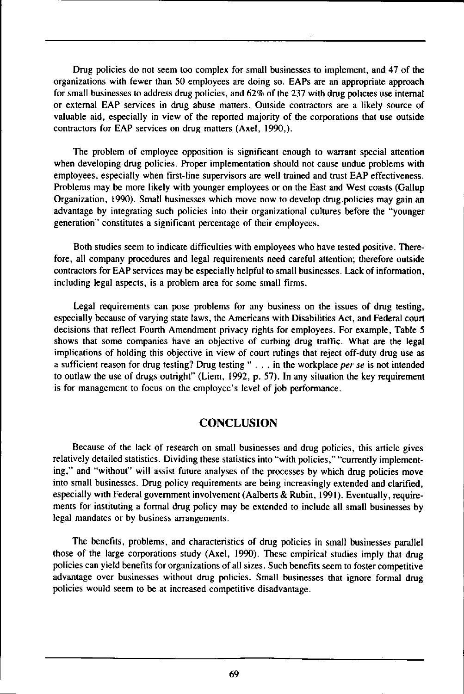Drug policies do not seem too complex for small businesses to implement, and 47 of the organizations with fewer than 50 employees are doing so. EAPs are an appropriate approach for small businesses to address drug policies, and 62% of the 237 with drug policies use internal or external EAP services in drug abuse matters. Outside contractors are a likely source of valuable aid, especially in view of the reported majority of the corporations that use outside contractors for EAP services on drug matters (Axel, 1990,).

The problem of employee opposition is significant enough to warrant special attention when developing drug policies. Proper implementation should not cause undue problems with employees, especially when first-line supervisors are well trained and trust EAP effectiveness. Problems may be more likely with younger employees or on the East and West coasts (Gallup Organization, 1990). Small businesses which move now to develop drug. policies may gain an advantage by integrating such policies into their organizational cultures before the "younger generation" constitutes a significant percentage of their employees.

Both studies seem to indicate difficulties with employees who have tested positive. Therefore, all company procedures and legal requirements need careful attention; therefore outside contractors for EAP services may be especially helpful to small businesses. Lack of information, including legal aspects, is a problem area for some small firms.

Legal requirements can pose problems for any business on the issues of drug testing, especially because of varying state laws, the Americans with Disabilities Act, and Federal court decisions that reflect Fourth Amendment privacy rights for employees. For example, Table 5 shows that some companies have an objective of curbing drug traffic. What are the legal implications of holding this objective in view of court rulings that reject off-duty drug use as a sufficient reason for drug testing? Drug testing "... in the workplace per se is not intended to outlaw the use of drugs outright" (Liem, 1992, p. 57). In any situation the key requirement is for management to focus on the employee's level of job performance.

## **CONCLUSION**

Because of the lack of research on small businesses and drug policies, this article gives relatively detailed statistics. Dividing these statistics into "with policies," "currently implementing," and "without" will assist future analyses of the processes by which drug policies move into small businesses. Drug policy requirements are being increasingly extended and clarified, especially with Federal government involvement (Aalberts & Rubin, 1991). Eventually, requirements for instituting a formal drug policy may be extended to include all small businesses by legal mandates or by business arrangements.

The benefits, problems, and characteristics of drug policies in small businesses parallel those of the large corporations study (Axel, 1990). These empirical studies imply that drug policies can yield benefits for organizations of all sizes. Such benefits seem to foster competitive advantage over businesses without drug policies. Small businesses that ignore formal drug policies would seem to be at increased competitive disadvantage.